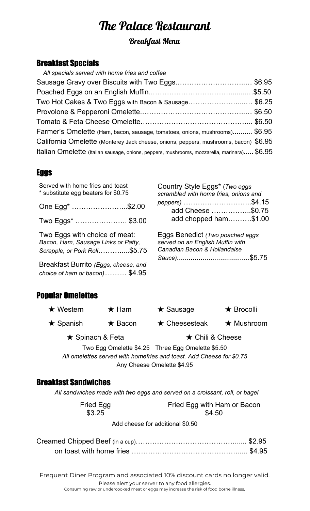# The Palace Restaurant

# Breakfast Menu

## Breakfast Specials

| All specials served with home fries and coffee                                              |  |
|---------------------------------------------------------------------------------------------|--|
| Sausage Gravy over Biscuits with Two Eggs\$6.95                                             |  |
|                                                                                             |  |
| Two Hot Cakes & Two Eggs with Bacon & Sausage\$6.25                                         |  |
|                                                                                             |  |
|                                                                                             |  |
| Farmer's Omelette (Ham, bacon, sausage, tomatoes, onions, mushrooms) \$6.95                 |  |
| California Omelette (Monterey Jack cheese, onions, peppers, mushrooms, bacon) \$6.95        |  |
| Italian Omelette (Italian sausage, onions, peppers, mushrooms, mozzarella, marinara) \$6.95 |  |

#### Eggs

| Served with home fries and toast<br>* substitute egg beaters for \$0.75<br>One Egg <sup>*</sup> \$2.00<br>Two Eggs*  \$3.00                                                    | Country Style Eggs* (Two eggs)<br>scrambled with home fries, onions and<br>peppers) \$4.15<br>add Cheese \$0.75<br>add chopped ham\$1.00 |
|--------------------------------------------------------------------------------------------------------------------------------------------------------------------------------|------------------------------------------------------------------------------------------------------------------------------------------|
| Two Eggs with choice of meat:<br>Bacon, Ham, Sausage Links or Patty,<br>Scrapple, or Pork Roll\$5.75<br>Breakfast Burrito (Eggs, cheese, and<br>choice of ham or bacon) \$4.95 | Eggs Benedict (Two poached eggs<br>served on an English Muffin with<br>Canadian Bacon & Hollandaise                                      |

# Popular Omelettes

|                                                                      | $\star$ Western | $\star$ Ham            | $\star$ Sausage                                   | $\star$ Brocolli |
|----------------------------------------------------------------------|-----------------|------------------------|---------------------------------------------------|------------------|
|                                                                      | $\star$ Spanish | $\star$ Bacon          | $\star$ Cheesesteak                               | $\star$ Mushroom |
| $\star$ Spinach & Feta                                               |                 | $\star$ Chili & Cheese |                                                   |                  |
|                                                                      |                 |                        | Two Egg Omelette \$4.25 Three Egg Omelette \$5.50 |                  |
| All omelettes served with homefries and toast. Add Cheese for \$0.75 |                 |                        |                                                   |                  |

Any Cheese Omelette \$4.95

#### Breakfast Sandwiches

*All sandwiches made with two eggs and served on a croissant, roll, or bagel*

Fried Egg \$3.25

Fried Egg with Ham or Bacon \$4.50

Add cheese for additional \$0.50

Frequent Diner Program and associated 10% discount cards no longer valid. Please alert your server to any food allergies. Consuming raw or undercooked meat or eggs may increase the risk of food borne illness.